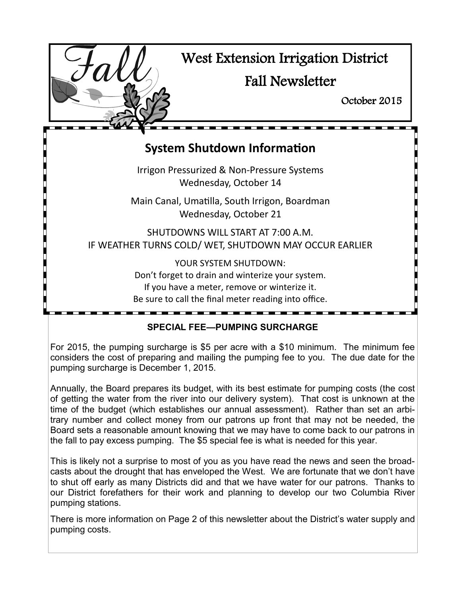

# **System Shutdown Information**

Irrigon Pressurized & Non-Pressure Systems Wednesday, October 14

Main Canal, Umatilla, South Irrigon, Boardman Wednesday, October 21

SHUTDOWNS WILL START AT 7:00 A.M. IF WEATHER TURNS COLD/ WET, SHUTDOWN MAY OCCUR EARLIER

> YOUR SYSTEM SHUTDOWN: Don't forget to drain and winterize your system. If you have a meter, remove or winterize it. Be sure to call the final meter reading into office.

### **SPECIAL FEE—PUMPING SURCHARGE**

For 2015, the pumping surcharge is \$5 per acre with a \$10 minimum. The minimum fee considers the cost of preparing and mailing the pumping fee to you. The due date for the pumping surcharge is December 1, 2015.

Annually, the Board prepares its budget, with its best estimate for pumping costs (the cost of getting the water from the river into our delivery system). That cost is unknown at the time of the budget (which establishes our annual assessment). Rather than set an arbitrary number and collect money from our patrons up front that may not be needed, the Board sets a reasonable amount knowing that we may have to come back to our patrons in the fall to pay excess pumping. The \$5 special fee is what is needed for this year.

This is likely not a surprise to most of you as you have read the news and seen the broadcasts about the drought that has enveloped the West. We are fortunate that we don't have to shut off early as many Districts did and that we have water for our patrons. Thanks to our District forefathers for their work and planning to develop our two Columbia River pumping stations.

There is more information on Page 2 of this newsletter about the District's water supply and pumping costs.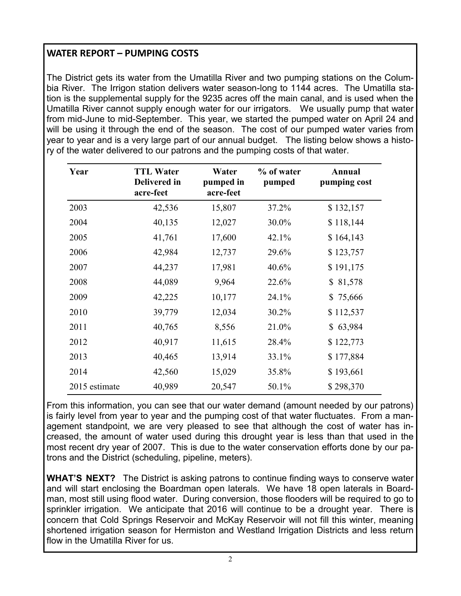# **WATER REPORT – PUMPING COSTS**

The District gets its water from the Umatilla River and two pumping stations on the Columbia River. The Irrigon station delivers water season-long to 1144 acres. The Umatilla station is the supplemental supply for the 9235 acres off the main canal, and is used when the Umatilla River cannot supply enough water for our irrigators. We usually pump that water from mid-June to mid-September. This year, we started the pumped water on April 24 and will be using it through the end of the season. The cost of our pumped water varies from year to year and is a very large part of our annual budget. The listing below shows a history of the water delivered to our patrons and the pumping costs of that water.

| Year          | <b>TTL Water</b><br><b>Delivered in</b><br>acre-feet | Water<br>pumped in<br>acre-feet | % of water<br>pumped | Annual<br>pumping cost |
|---------------|------------------------------------------------------|---------------------------------|----------------------|------------------------|
| 2003          | 42,536                                               | 15,807                          | 37.2%                | \$132,157              |
| 2004          | 40,135                                               | 12,027                          | 30.0%                | \$118,144              |
| 2005          | 41,761                                               | 17,600                          | 42.1%                | \$164,143              |
| 2006          | 42,984                                               | 12,737                          | 29.6%                | \$123,757              |
| 2007          | 44,237                                               | 17,981                          | 40.6%                | \$191,175              |
| 2008          | 44,089                                               | 9,964                           | 22.6%                | \$81,578               |
| 2009          | 42,225                                               | 10,177                          | 24.1%                | \$75,666               |
| 2010          | 39,779                                               | 12,034                          | 30.2%                | \$112,537              |
| 2011          | 40,765                                               | 8,556                           | 21.0%                | \$63,984               |
| 2012          | 40,917                                               | 11,615                          | 28.4%                | \$122,773              |
| 2013          | 40,465                                               | 13,914                          | 33.1%                | \$177,884              |
| 2014          | 42,560                                               | 15,029                          | 35.8%                | \$193,661              |
| 2015 estimate | 40,989                                               | 20,547                          | 50.1%                | \$298,370              |

From this information, you can see that our water demand (amount needed by our patrons) is fairly level from year to year and the pumping cost of that water fluctuates. From a management standpoint, we are very pleased to see that although the cost of water has increased, the amount of water used during this drought year is less than that used in the most recent dry year of 2007. This is due to the water conservation efforts done by our patrons and the District (scheduling, pipeline, meters).

**WHAT'S NEXT?** The District is asking patrons to continue finding ways to conserve water and will start enclosing the Boardman open laterals. We have 18 open laterals in Boardman, most still using flood water. During conversion, those flooders will be required to go to sprinkler irrigation. We anticipate that 2016 will continue to be a drought year. There is concern that Cold Springs Reservoir and McKay Reservoir will not fill this winter, meaning shortened irrigation season for Hermiston and Westland Irrigation Districts and less return flow in the Umatilla River for us.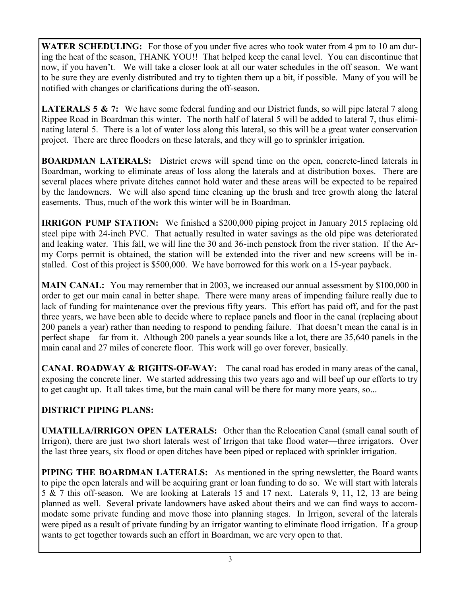**WATER SCHEDULING:** For those of you under five acres who took water from 4 pm to 10 am during the heat of the season, THANK YOU!! That helped keep the canal level. You can discontinue that now, if you haven't. We will take a closer look at all our water schedules in the off season. We want to be sure they are evenly distributed and try to tighten them up a bit, if possible. Many of you will be notified with changes or clarifications during the off-season.

**LATERALS 5 & 7:** We have some federal funding and our District funds, so will pipe lateral 7 along Rippee Road in Boardman this winter. The north half of lateral 5 will be added to lateral 7, thus eliminating lateral 5. There is a lot of water loss along this lateral, so this will be a great water conservation project. There are three flooders on these laterals, and they will go to sprinkler irrigation.

**BOARDMAN LATERALS:** District crews will spend time on the open, concrete-lined laterals in Boardman, working to eliminate areas of loss along the laterals and at distribution boxes. There are several places where private ditches cannot hold water and these areas will be expected to be repaired by the landowners. We will also spend time cleaning up the brush and tree growth along the lateral easements. Thus, much of the work this winter will be in Boardman.

**IRRIGON PUMP STATION:** We finished a \$200,000 piping project in January 2015 replacing old steel pipe with 24-inch PVC. That actually resulted in water savings as the old pipe was deteriorated and leaking water. This fall, we will line the 30 and 36-inch penstock from the river station. If the Army Corps permit is obtained, the station will be extended into the river and new screens will be installed. Cost of this project is \$500,000. We have borrowed for this work on a 15-year payback.

**MAIN CANAL:** You may remember that in 2003, we increased our annual assessment by \$100,000 in order to get our main canal in better shape. There were many areas of impending failure really due to lack of funding for maintenance over the previous fifty years. This effort has paid off, and for the past three years, we have been able to decide where to replace panels and floor in the canal (replacing about 200 panels a year) rather than needing to respond to pending failure. That doesn't mean the canal is in perfect shape—far from it. Although 200 panels a year sounds like a lot, there are 35,640 panels in the main canal and 27 miles of concrete floor. This work will go over forever, basically.

**CANAL ROADWAY & RIGHTS-OF-WAY:** The canal road has eroded in many areas of the canal, exposing the concrete liner. We started addressing this two years ago and will beef up our efforts to try to get caught up. It all takes time, but the main canal will be there for many more years, so...

#### **DISTRICT PIPING PLANS:**

**UMATILLA/IRRIGON OPEN LATERALS:** Other than the Relocation Canal (small canal south of Irrigon), there are just two short laterals west of Irrigon that take flood water—three irrigators. Over the last three years, six flood or open ditches have been piped or replaced with sprinkler irrigation.

**PIPING THE BOARDMAN LATERALS:** As mentioned in the spring newsletter, the Board wants to pipe the open laterals and will be acquiring grant or loan funding to do so. We will start with laterals 5 & 7 this off-season. We are looking at Laterals 15 and 17 next. Laterals 9, 11, 12, 13 are being planned as well. Several private landowners have asked about theirs and we can find ways to accommodate some private funding and move those into planning stages. In Irrigon, several of the laterals were piped as a result of private funding by an irrigator wanting to eliminate flood irrigation. If a group wants to get together towards such an effort in Boardman, we are very open to that.